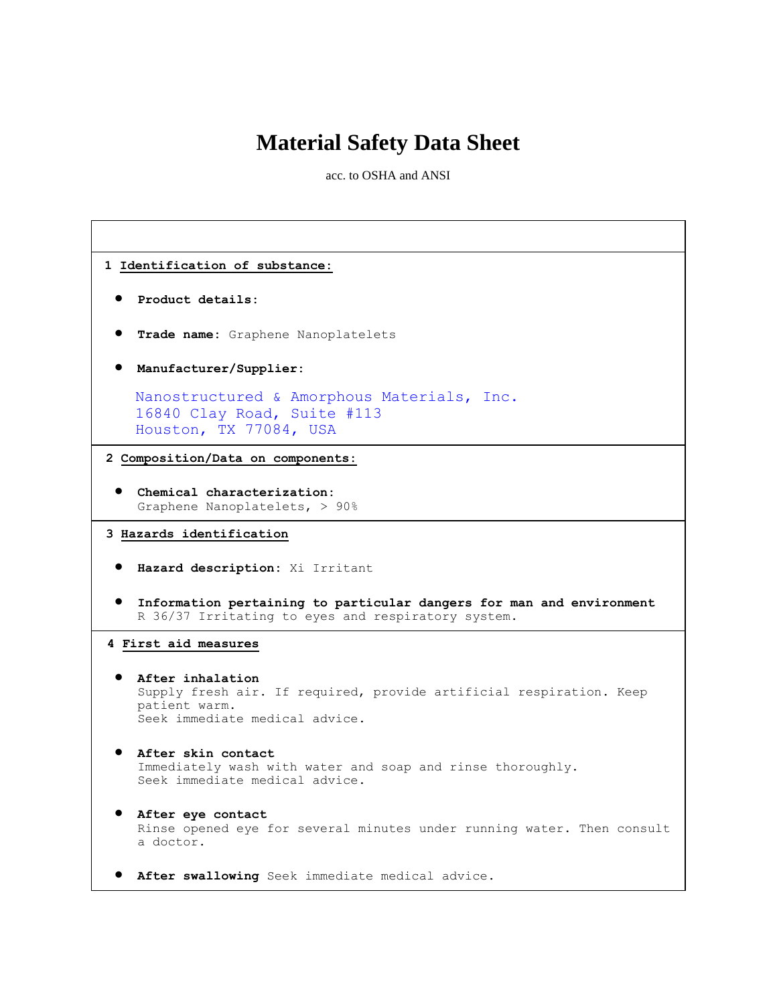# **Material Safety Data Sheet**

acc. to OSHA and ANSI

| 1 Identification of substance:                                                                                                             |
|--------------------------------------------------------------------------------------------------------------------------------------------|
| Product details:                                                                                                                           |
| Trade name: Graphene Nanoplatelets                                                                                                         |
| Manufacturer/Supplier:                                                                                                                     |
| Nanostructured & Amorphous Materials, Inc.<br>16840 Clay Road, Suite #113<br>Houston, TX 77084, USA                                        |
| 2 Composition/Data on components:                                                                                                          |
| Chemical characterization:<br>Graphene Nanoplatelets, > 90%                                                                                |
| 3 Hazards identification                                                                                                                   |
| Hazard description: Xi Irritant                                                                                                            |
| Information pertaining to particular dangers for man and environment<br>R 36/37 Irritating to eyes and respiratory system.                 |
| 4 First aid measures                                                                                                                       |
| After inhalation<br>Supply fresh air. If required, provide artificial respiration. Keep<br>patient warm.<br>Seek immediate medical advice. |
| After skin contact<br>Immediately wash with water and soap and rinse thoroughly.<br>Seek immediate medical advice.                         |
| After eye contact<br>Rinse opened eye for several minutes under running water. Then consult<br>a doctor.                                   |
| After swallowing Seek immediate medical advice.                                                                                            |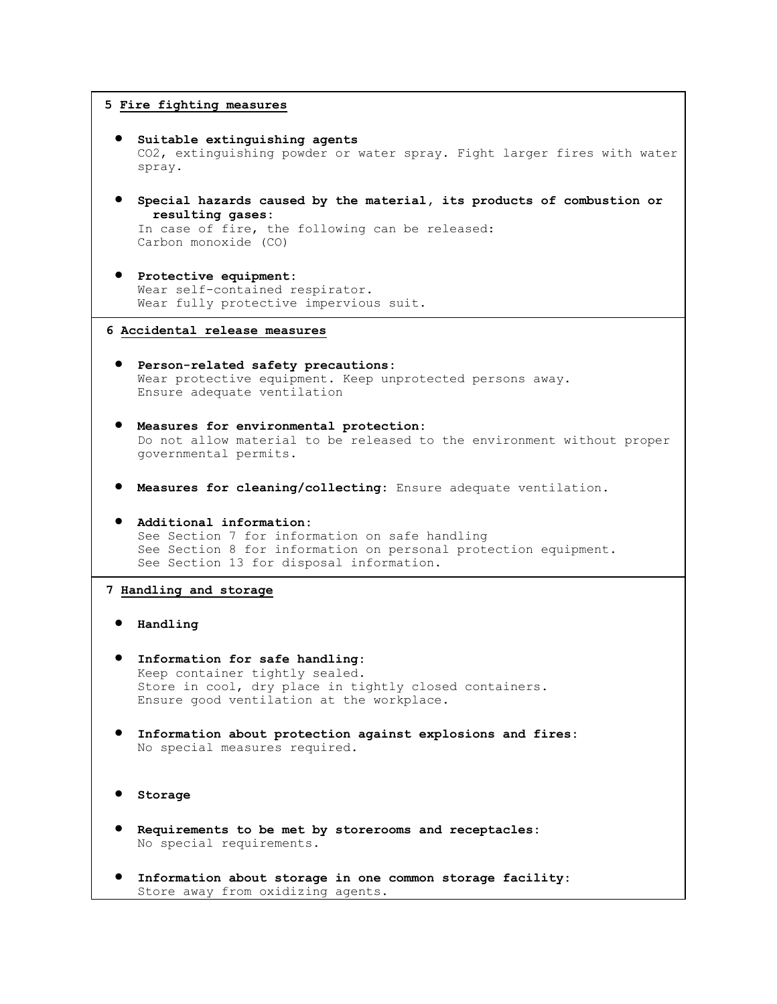### **5 Fire fighting measures**

```
 Suitable extinguishing agents
  CO2, extinguishing powder or water spray. Fight larger fires with water 
  spray.
```
 **Special hazards caused by the material, its products of combustion or resulting gases:**

In case of fire, the following can be released: Carbon monoxide (CO)

 **Protective equipment:** Wear self-contained respirator. Wear fully protective impervious suit.

#### **6 Accidental release measures**

- **Person-related safety precautions:** Wear protective equipment. Keep unprotected persons away. Ensure adequate ventilation
- **Measures for environmental protection:** Do not allow material to be released to the environment without proper governmental permits.
- **Measures for cleaning/collecting:** Ensure adequate ventilation.
- **Additional information:** See Section 7 for information on safe handling See Section 8 for information on personal protection equipment. See Section 13 for disposal information.

### **7 Handling and storage**

- **Handling**
- **Information for safe handling:** Keep container tightly sealed. Store in cool, dry place in tightly closed containers. Ensure good ventilation at the workplace.
- **Information about protection against explosions and fires:** No special measures required.

```
 Storage
```
- **Requirements to be met by storerooms and receptacles:** No special requirements.
- **Information about storage in one common storage facility:** Store away from oxidizing agents.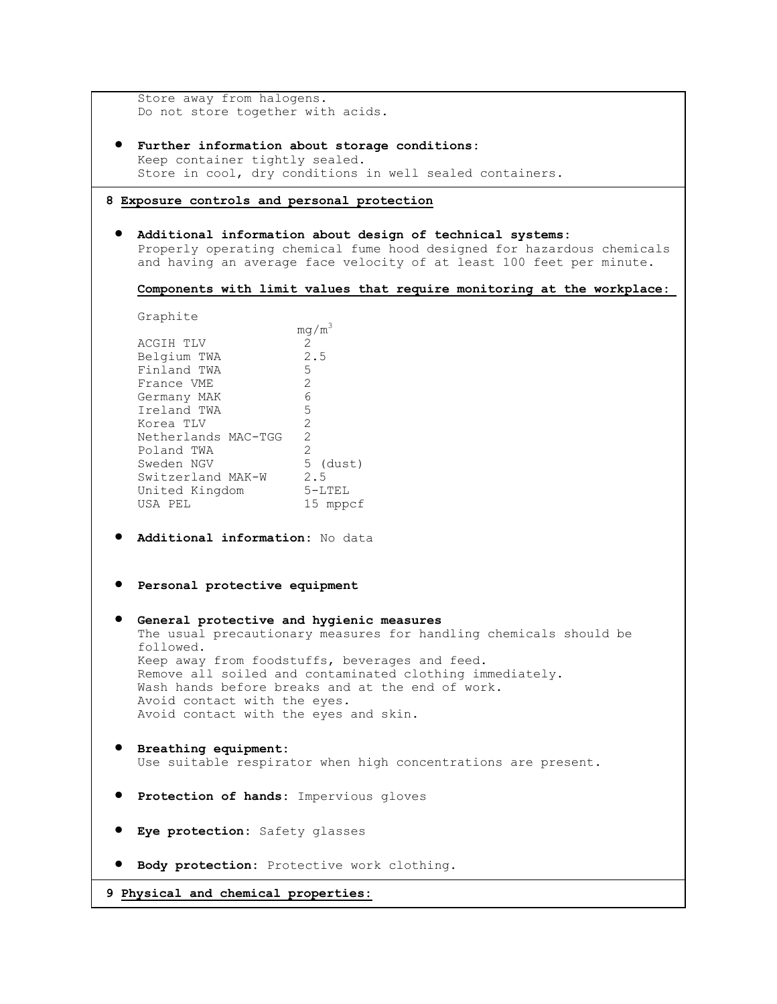| Store away from halogens.<br>Do not store together with acids.   |                                                                                                                                                |  |
|------------------------------------------------------------------|------------------------------------------------------------------------------------------------------------------------------------------------|--|
|                                                                  |                                                                                                                                                |  |
| Keep container tightly sealed.                                   | Further information about storage conditions:                                                                                                  |  |
|                                                                  | Store in cool, dry conditions in well sealed containers.                                                                                       |  |
| 8 Exposure controls and personal protection                      |                                                                                                                                                |  |
|                                                                  |                                                                                                                                                |  |
|                                                                  | Additional information about design of technical systems:                                                                                      |  |
|                                                                  | Properly operating chemical fume hood designed for hazardous chemicals<br>and having an average face velocity of at least 100 feet per minute. |  |
|                                                                  |                                                                                                                                                |  |
|                                                                  | Components with limit values that require monitoring at the workplace:                                                                         |  |
| Graphite                                                         |                                                                                                                                                |  |
|                                                                  | $mq/m^3$                                                                                                                                       |  |
| ACGIH TLV                                                        | $\overline{2}$                                                                                                                                 |  |
| Belgium TWA<br>Finland TWA                                       | 2.5<br>5                                                                                                                                       |  |
| France VME                                                       | 2                                                                                                                                              |  |
| Germany MAK                                                      | 6                                                                                                                                              |  |
| Ireland TWA                                                      | 5                                                                                                                                              |  |
| Korea TLV                                                        | $\mathbf{2}$                                                                                                                                   |  |
| Netherlands MAC-TGG                                              | 2                                                                                                                                              |  |
| Poland TWA                                                       | 2                                                                                                                                              |  |
| Poland TWA 2<br>Sweden NGV 5 (dust)                              |                                                                                                                                                |  |
| Switzerland MAK-W 2.5                                            |                                                                                                                                                |  |
| United Kingdom 5-LTEL                                            |                                                                                                                                                |  |
| USA PEL                                                          | 15 mppcf                                                                                                                                       |  |
| Additional information: No data<br>Personal protective equipment |                                                                                                                                                |  |
|                                                                  |                                                                                                                                                |  |
|                                                                  | General protective and hygienic measures                                                                                                       |  |
|                                                                  | The usual precautionary measures for handling chemicals should be                                                                              |  |
| followed.                                                        |                                                                                                                                                |  |
|                                                                  | Keep away from foodstuffs, beverages and feed.                                                                                                 |  |
|                                                                  | Remove all soiled and contaminated clothing immediately.                                                                                       |  |
|                                                                  | Wash hands before breaks and at the end of work.                                                                                               |  |
| Avoid contact with the eyes.                                     |                                                                                                                                                |  |
| Avoid contact with the eyes and skin.                            |                                                                                                                                                |  |
| Breathing equipment:                                             |                                                                                                                                                |  |
|                                                                  | Use suitable respirator when high concentrations are present.                                                                                  |  |
|                                                                  |                                                                                                                                                |  |
|                                                                  | Protection of hands: Impervious gloves                                                                                                         |  |
| Eye protection: Safety glasses                                   |                                                                                                                                                |  |
| Body protection: Protective work clothing.                       |                                                                                                                                                |  |
| 9 Physical and chemical properties:                              |                                                                                                                                                |  |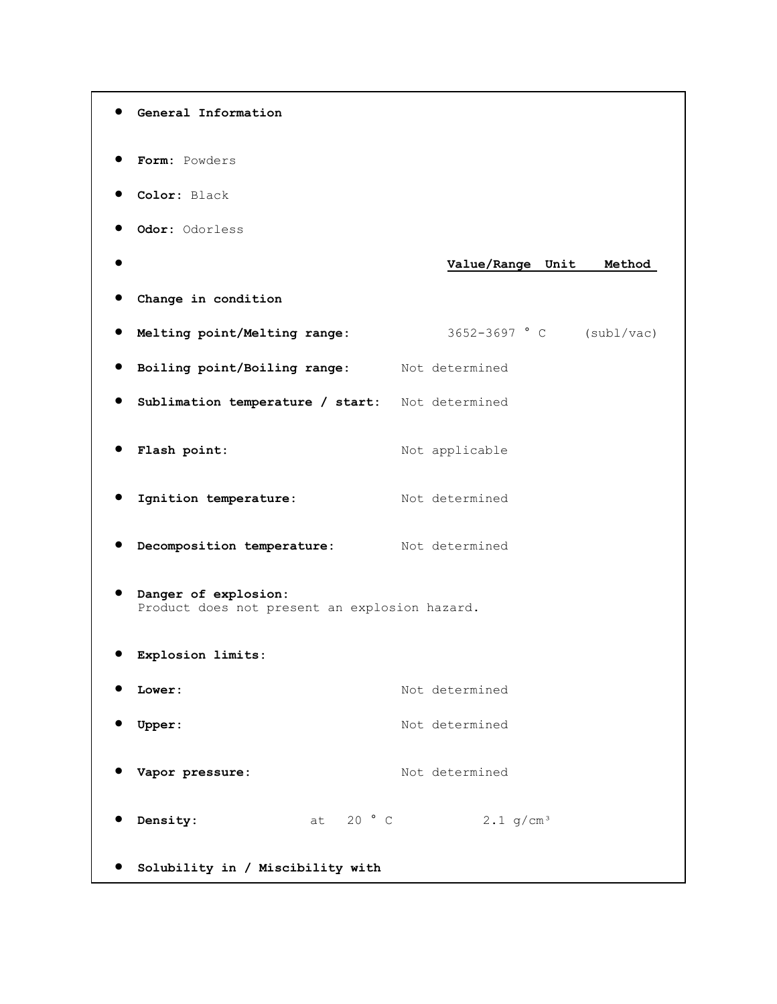```
 General Information
 Form: Powders 
 Color: Black 
 Odor: Odorless 
                                  Value/Range Unit Method 
 Change in condition
 Melting point/Melting range: 3652-3697 ° C (subl/vac) 
 Boiling point/Boiling range: Not determined 
 Sublimation temperature / start: Not determined 
• Flash point: Not applicable
Ignition temperature: Not determined
 Decomposition temperature: Not determined 
 Danger of explosion:
  Product does not present an explosion hazard. 
 Explosion limits:
 Lower: Not determined
OUPPER: Not determined
Vapor pressure: Not determined
0 Density: at 20 ° C 2.1 g/cm<sup>3</sup>
 Solubility in / Miscibility with
```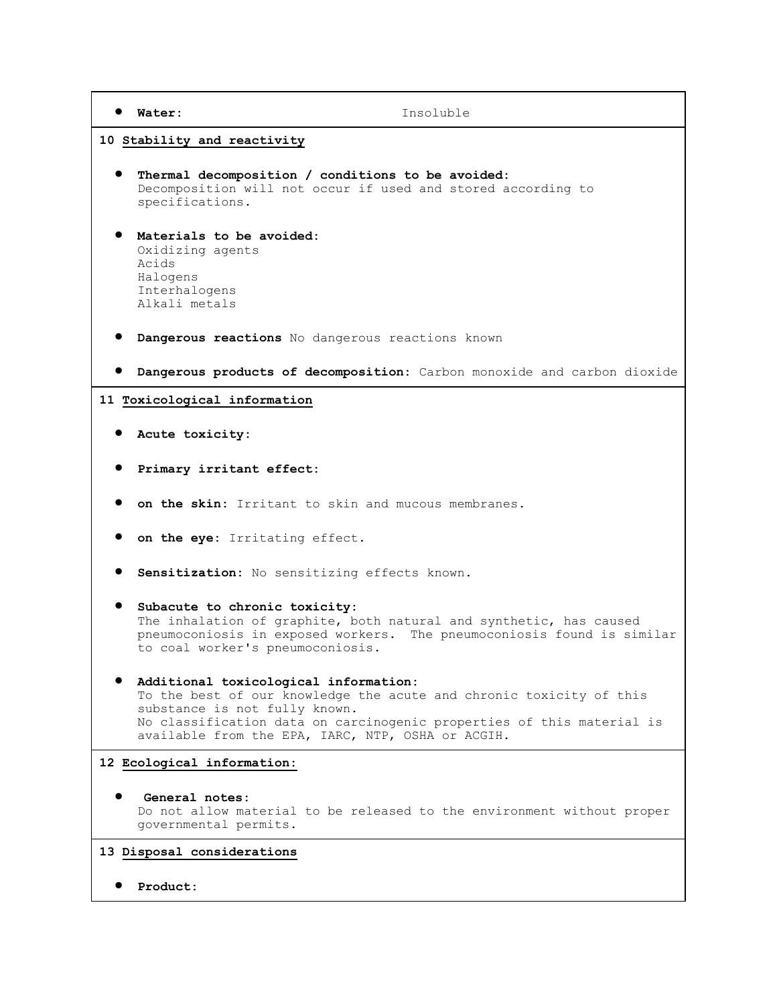**Water:** Insoluble

#### **10 Stability and reactivity**

- **Thermal decomposition / conditions to be avoided:** Decomposition will not occur if used and stored according to specifications.
- **Materials to be avoided:** Oxidizing agents Acids Halogens Interhalogens Alkali metals
- **Dangerous reactions** No dangerous reactions known
- **Dangerous products of decomposition:** Carbon monoxide and carbon dioxide

#### **11 Toxicological information**

- **Acute toxicity:**
- **Primary irritant effect:**
- **on the skin:** Irritant to skin and mucous membranes.
- **on the eye:** Irritating effect.
- **Sensitization:** No sensitizing effects known.
- **Subacute to chronic toxicity:** The inhalation of graphite, both natural and synthetic, has caused pneumoconiosis in exposed workers. The pneumoconiosis found is similar to coal worker's pneumoconiosis.
- **Additional toxicological information:** To the best of our knowledge the acute and chronic toxicity of this substance is not fully known. No classification data on carcinogenic properties of this material is available from the EPA, IARC, NTP, OSHA or ACGIH.

# **12 Ecological information:**

 **General notes:** Do not allow material to be released to the environment without proper governmental permits.

#### **13 Disposal considerations**

**Product:**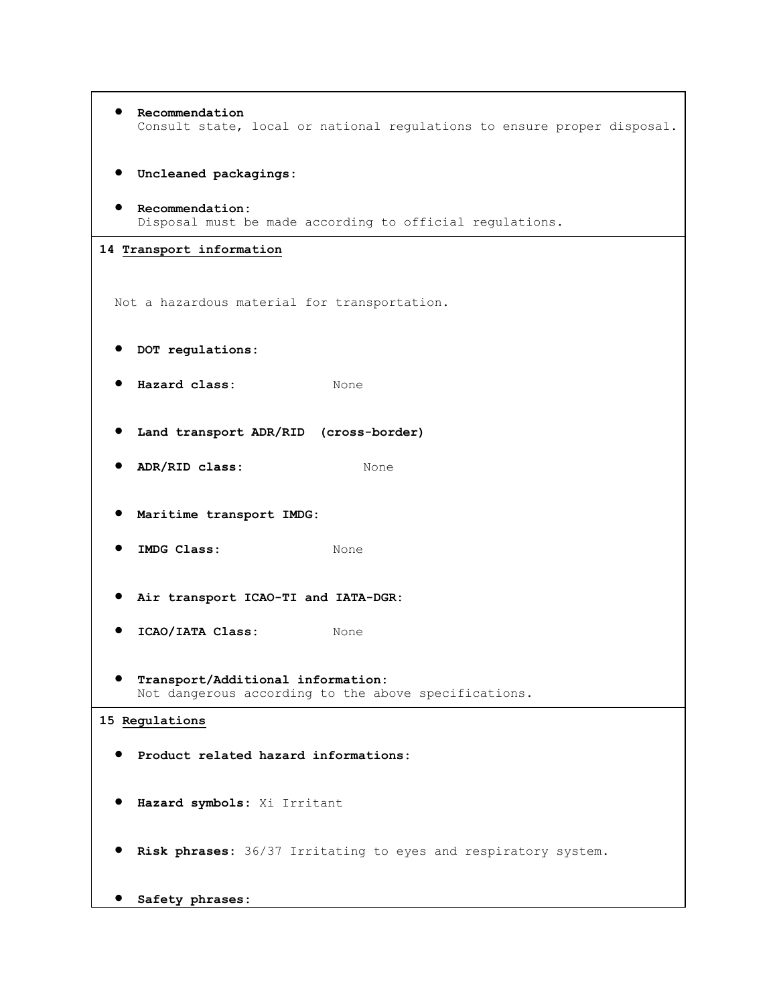```
 Recommendation
    Consult state, local or national regulations to ensure proper disposal. 
  Uncleaned packagings:
  Recommendation:
    Disposal must be made according to official regulations.
14 Transport information
 Not a hazardous material for transportation. 
  DOT regulations:
  Hazard class: None 
  Land transport ADR/RID (cross-border)
  ADR/RID class: None 
  Maritime transport IMDG:
 • IMDG Class: None
  Air transport ICAO-TI and IATA-DGR:
  ICAO/IATA Class: None 
  Transport/Additional information:
    Not dangerous according to the above specifications.
15 Regulations
  Product related hazard informations:
  Hazard symbols: Xi Irritant 
  Risk phrases: 36/37 Irritating to eyes and respiratory system. 
  Safety phrases:
```